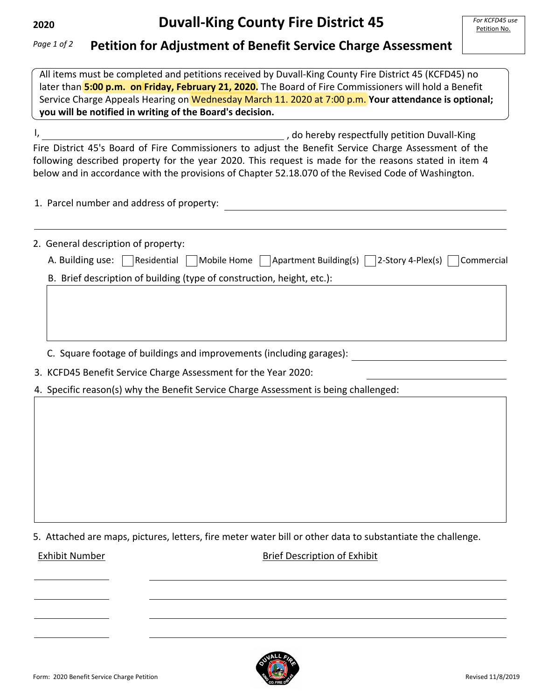## **Petition for Adjustment of Benefit Service Charge Assessment** *Page 1 of 2*

All items must be completed and petitions received by Duvall-King County Fire District 45 (KCFD45) no later than **5:00 p.m. on Friday, February 21, 2020.** The Board of Fire Commissioners will hold a Benefit Service Charge Appeals Hearing on Wednesday March 11. 2020 at 7:00 p.m. **Your attendance is optional; you will be notified in writing of the Board's decision.**

I, **1201**, do hereby respectfully petition Duvall-King Fire District 45's Board of Fire Commissioners to adjust the Benefit Service Charge Assessment of the following described property for the year 2020. This request is made for the reasons stated in item 4 below and in accordance with the provisions of Chapter 52.18.070 of the Revised Code of Washington.

1. Parcel number and address of property:

2. General description of property:

|  | A. Building use: Residential Mobile Home Apartment Building(s) 2-Story 4-Plex(s) Commercial |  |
|--|---------------------------------------------------------------------------------------------|--|
|  |                                                                                             |  |

B. Brief description of building (type of construction, height, etc.):

C. Square footage of buildings and improvements (including garages):

3. KCFD45 Benefit Service Charge Assessment for the Year 2020:

4. Specific reason(s) why the Benefit Service Charge Assessment is being challenged:

5. Attached are maps, pictures, letters, fire meter water bill or other data to substantiate the challenge.

Exhibit Number Brief Description of Exhibit